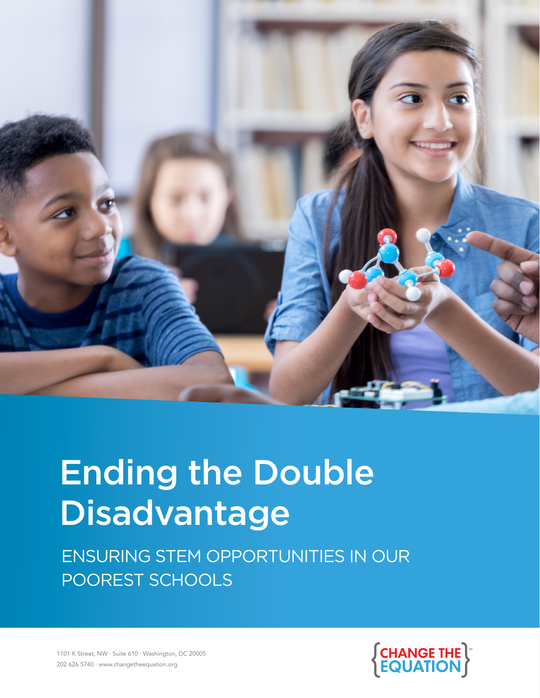

# Ending the Double Disadvantage

 ENSURING STEM OPPORTUNITIES IN OUR POOREST SCHOOLS



1101 K Street, NW · Suite 610 · Washington, DC 20005 1101 K Street, NW · Suite 610 · Washington, DC 20005 202 626 5740 · www.changetheequation.org 202 626 5740 · www.changetheequation.org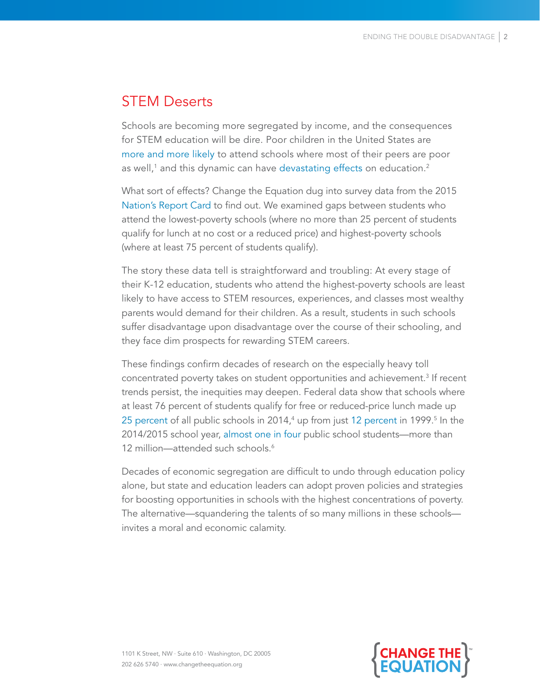## STEM Deserts

Schools are becoming more segregated by income, and the consequences for STEM education will be dire. Poor children in the United States are [more and more likely](https://www.brookings.edu/blog/brown-center-chalkboard/2015/09/10/growing-economic-segregation-among-school-districts-and-schools/) to attend schools where most of their peers are poor as well,1 and this dynamic can have [devastating effects](https://cepa.stanford.edu/news/concentration-poverty-american-schools) on education. $^{\text{2}}$ 

What sort of effects? Change the Equation dug into survey data from the 2015 [Nation's Report Card](https://www.nationsreportcard.gov/) to find out. We examined gaps between students who attend the lowest-poverty schools (where no more than 25 percent of students qualify for lunch at no cost or a reduced price) and highest-poverty schools (where at least 75 percent of students qualify).

The story these data tell is straightforward and troubling: At every stage of their K-12 education, students who attend the highest-poverty schools are least likely to have access to STEM resources, experiences, and classes most wealthy parents would demand for their children. As a result, students in such schools suffer disadvantage upon disadvantage over the course of their schooling, and they face dim prospects for rewarding STEM careers.

These findings confirm decades of research on the especially heavy toll concentrated poverty takes on student opportunities and achievement.<sup>3</sup> If recent trends persist, the inequities may deepen. Federal data show that schools where at least 76 percent of students qualify for free or reduced-price lunch made up [25 percent](https://nces.ed.gov/programs/digest/d16/tables/dt16_216.30.asp) of all public schools in 2014,<sup>4</sup> up from just [12 percent](https://nces.ed.gov/pubs2010/2010028.pdf) in 1999.<sup>5</sup> In the 2014/2015 school year, [almost one in four](https://nces.ed.gov/programs/digest/d16/tables/dt16_216.60.asp) public school students—more than 12 million—attended such schools<sup>6</sup>

Decades of economic segregation are difficult to undo through education policy alone, but state and education leaders can adopt proven policies and strategies for boosting opportunities in schools with the highest concentrations of poverty. The alternative—squandering the talents of so many millions in these schools invites a moral and economic calamity.

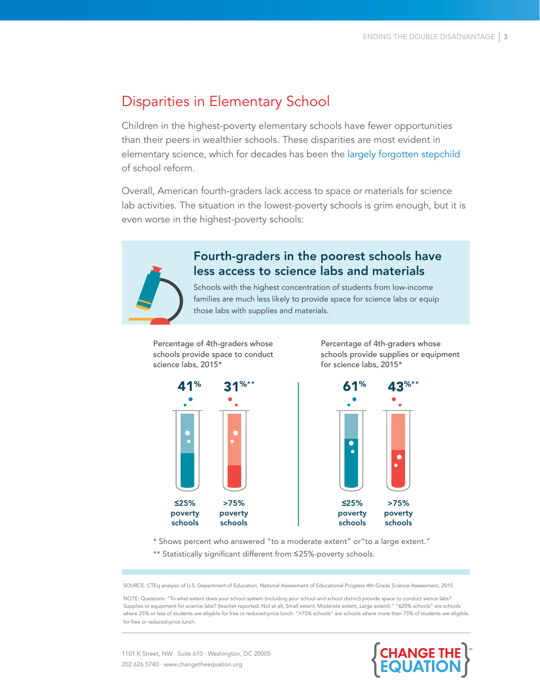## Disparities in Elementary School

Children in the highest-poverty elementary schools have fewer opportunities than their peers in wealthier schools. These disparities are most evident in elementary science, which for decades has been the [largely](http://changetheequation.org/will-elementary-science-remain-forgotten-stepchild-school-reform#overlay-context=stembeats) forgotten stepchild of school reform.

Overall, American fourth-graders lack access to space or materials for science lab activities. The situation in the lowest-poverty schools is grim enough, but it is even worse in the highest-poverty schools:



#### Fourth-graders in the poorest schools have less access to science labs and materials

Schools with the highest concentration of students from low-income families are much less likely to provide space for science labs or equip those labs with supplies and materials.

Percentage of 4th-graders whose schools provide space to conduct science labs, 2015\*

Percentage of 4th-graders whose schools provide supplies or equipment for science labs, 2015\*





\* Shows percent who answered "to a moderate extent" or"to a large extent."

\*\* Statistically significant different from ≤25%-poverty schools.

SOURCE: CTEq analysis of U.S. Department of Education, National Assessment of Educational Progress 4th-Grade Science Assessment, 2015

NOTE: Questions: "To what extent does your school system (including your school and school district) provide space to conduct sience labs? Supplies or equipment for science labs? (teacher reported: Not at all, Small extent, Moderate extent, Large extent)." "≤25% schools" are schools where 25% or less of students are eligible for free or reduced-price lunch. ">75% schools" are schools where more than 75% of students are eligible for free or reduced-price lunch.

1101 K Street, NW · Suite 610 · Washington, DC 20005 202 626 5740 · www.changetheequation.org

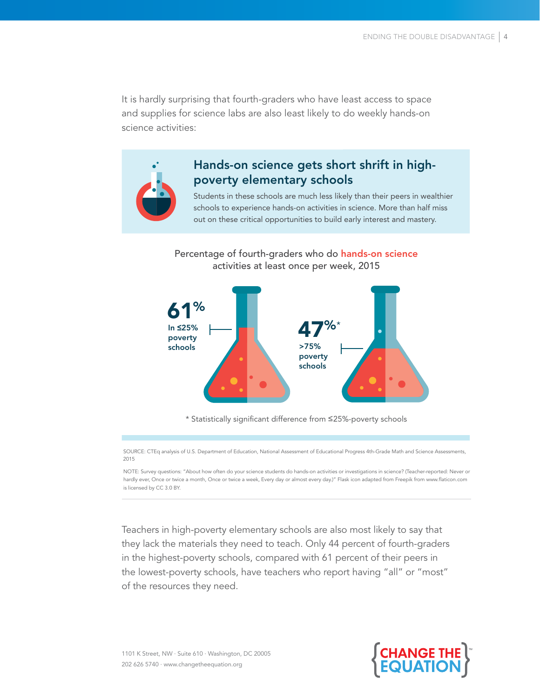It is hardly surprising that fourth-graders who have least access to space and supplies for science labs are also least likely to do weekly hands-on science activities:



### Hands-on science gets short shrift in highpoverty elementary schools

Students in these schools are much less likely than their peers in wealthier schools to experience hands-on activities in science. More than half miss out on these critical opportunities to build early interest and mastery.

Percentage of fourth-graders who do hands-on science activities at least once per week, 2015



\* Statistically significant difference from ≤25%-poverty schools

SOURCE: CTEq analysis of U.S. Department of Education, National Assessment of Educational Progress 4th-Grade Math and Science Assessments, 2015

NOTE: Survey questions: "About how often do your science students do hands-on activities or investigations in science? (Teacher-reported: Never or hardly ever, Once or twice a month, Once or twice a week, Every day or almost every day.)" Flask icon adapted from Freepik from www.flaticon.com is licensed by CC 3.0 BY.

Teachers in high-poverty elementary schools are also most likely to say that they lack the materials they need to teach. Only 44 percent of fourth-graders in the highest-poverty schools, compared with 61 percent of their peers in the lowest-poverty schools, have teachers who report having "all" or "most" of the resources they need.

1101 K Street, NW · Suite 610 · Washington, DC 20005 202 626 5740 · www.changetheequation.org

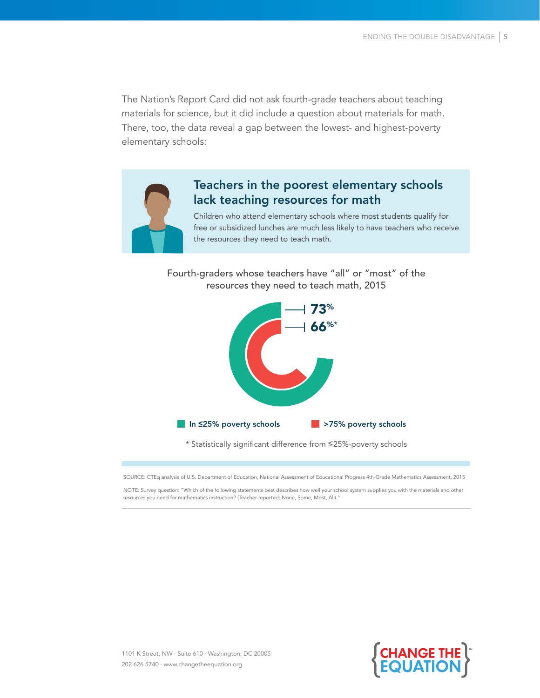The Nation's Report Card did not ask fourth-grade teachers about teaching materials for science, but it did include a question about materials for math. There, too, the data reveal a gap between the lowest- and highest-poverty elementary schools:



#### Teachers in the poorest elementary schools lack teaching resources for math

Children who attend elementary schools where most students qualify for free or subsidized lunches are much less likely to have teachers who receive the resources they need to teach math.

Fourth-graders whose teachers have "all" or "most" of the resources they need to teach math, 2015



\* Statistically significant difference from ≤25%-poverty schools

SOURCE: CTEq analysis of U.S. Department of Education, National Assessment of Educational Progress 4th-Grade Mathematics Assessment, 2015

NOTE: Survey question: "Which of the following statements best describes how well your school system supplies you with the materials and other resources you need for mathematics instruction? (Teacher-reported: None, Some, Most, All)."

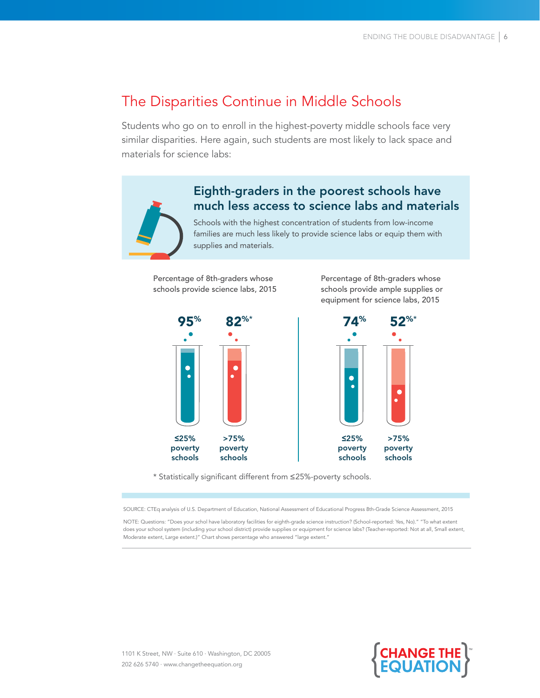## The Disparities Continue in Middle Schools

Students who go on to enroll in the highest-poverty middle schools face very similar disparities. Here again, such students are most likely to lack space and materials for science labs:

### Eighth-graders in the poorest schools have much less access to science labs and materials

Schools with the highest concentration of students from low-income families are much less likely to provide science labs or equip them with supplies and materials.

Percentage of 8th-graders whose schools provide science labs, 2015 Percentage of 8th-graders whose schools provide ample supplies or equipment for science labs, 2015



\* Statistically significant different from ≤25%-poverty schools.

SOURCE: CTEq analysis of U.S. Department of Education, National Assessment of Educational Progress 8th-Grade Science Assessment, 2015

NOTE: Questions: "Does your schol have laboratory facilities for eighth-grade science instruction? (School-reported: Yes, No)." "To what extent does your school system (including your school district) provide supplies or equipment for science labs? (Teacher-reported: Not at all, Small extent, Moderate extent, Large extent.)" Chart shows percentage who answered "large extent."



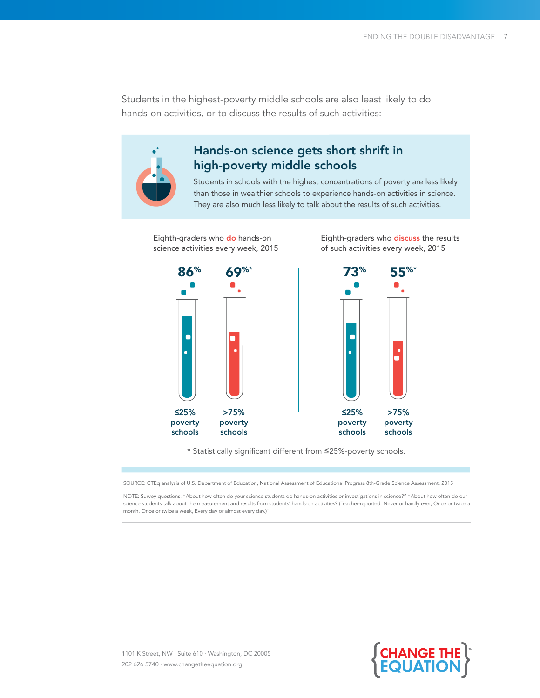Students in the highest-poverty middle schools are also least likely to do hands-on activities, or to discuss the results of such activities:



#### Hands-on science gets short shrift in high-poverty middle schools

Students in schools with the highest concentrations of poverty are less likely than those in wealthier schools to experience hands-on activities in science. They are also much less likely to talk about the results of such activities.

Eighth-graders who do hands-on science activities every week, 2015 Eighth-graders who discuss the results of such activities every week, 2015



\* Statistically significant different from ≤25%-poverty schools.

SOURCE: CTEq analysis of U.S. Department of Education, National Assessment of Educational Progress 8th-Grade Science Assessment, 2015

NOTE: Survey questions: "About how often do your science students do hands-on activities or investigations in science?" "About how often do our science students talk about the measurement and results from students' hands-on activities? (Teacher-reported: Never or hardly ever, Once or twice a month, Once or twice a week, Every day or almost every day.)"

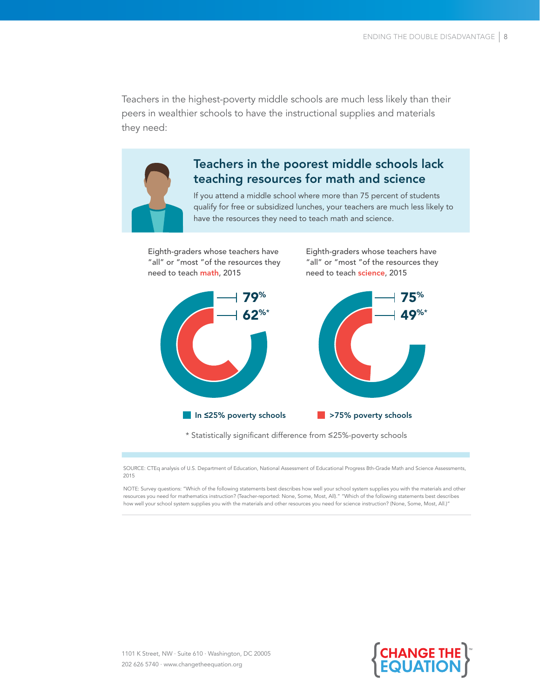Teachers in the highest-poverty middle schools are much less likely than their peers in wealthier schools to have the instructional supplies and materials they need:



#### Teachers in the poorest middle schools lack teaching resources for math and science

If you attend a middle school where more than 75 percent of students qualify for free or subsidized lunches, your teachers are much less likely to have the resources they need to teach math and science.

Eighth-graders whose teachers have "all" or "most "of the resources they need to teach math, 2015

Eighth-graders whose teachers have "all" or "most "of the resources they need to teach science, 2015



\* Statistically significant difference from ≤25%-poverty schools

SOURCE: CTEq analysis of U.S. Department of Education, National Assessment of Educational Progress 8th-Grade Math and Science Assessments, 2015

NOTE: Survey questions: "Which of the following statements best describes how well your school system supplies you with the materials and other resources you need for mathematics instruction? (Teacher-reported: None, Some, Most, All)." "Which of the following statements best describes how well your school system supplies you with the materials and other resources you need for science instruction? (None, Some, Most, All.)"

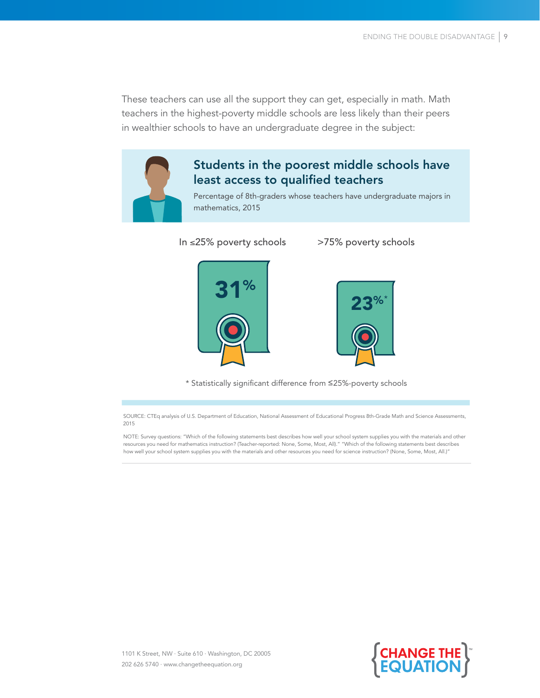These teachers can use all the support they can get, especially in math. Math teachers in the highest-poverty middle schools are less likely than their peers in wealthier schools to have an undergraduate degree in the subject:



#### Students in the poorest middle schools have least access to qualified teachers

Percentage of 8th-graders whose teachers have undergraduate majors in mathematics, 2015

In ≤25% poverty schools >75% poverty schools





\* Statistically significant difference from ≤25%-poverty schools

SOURCE: CTEq analysis of U.S. Department of Education, National Assessment of Educational Progress 8th-Grade Math and Science Assessments, 2015

NOTE: Survey questions: "Which of the following statements best describes how well your school system supplies you with the materials and other resources you need for mathematics instruction? (Teacher-reported: None, Some, Most, All)." "Which of the following statements best describes how well your school system supplies you with the materials and other resources you need for science instruction? (None, Some, Most, All.)"

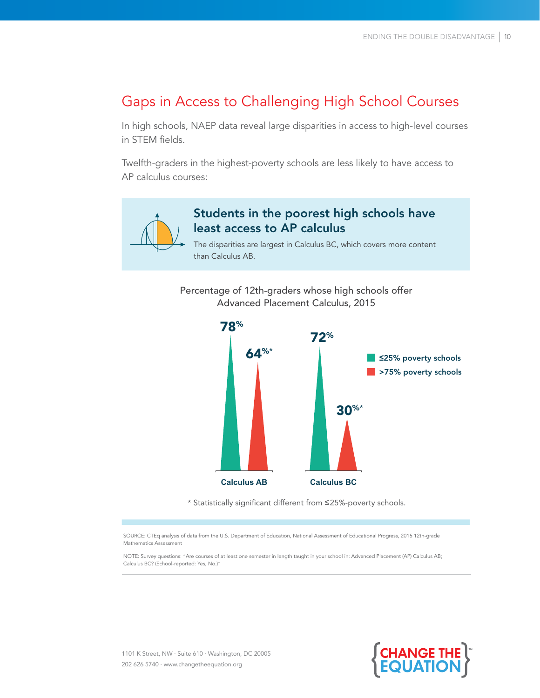## Gaps in Access to Challenging High School Courses

In high schools, NAEP data reveal large disparities in access to high-level courses in STEM fields.

Twelfth-graders in the highest-poverty schools are less likely to have access to AP calculus courses:



#### Students in the poorest high schools have least access to AP calculus

The disparities are largest in Calculus BC, which covers more content than Calculus AB.

Percentage of 12th-graders whose high schools offer Advanced Placement Calculus, 2015



\* Statistically significant different from ≤25%-poverty schools.

SOURCE: CTEq analysis of data from the U.S. Department of Education, National Assessment of Educational Progress, 2015 12th-grade Mathematics Assessment

NOTE: Survey questions: "Are courses of at least one semester in length taught in your school in: Advanced Placement (AP) Calculus AB; Calculus BC? (School-reported: Yes, No.)"



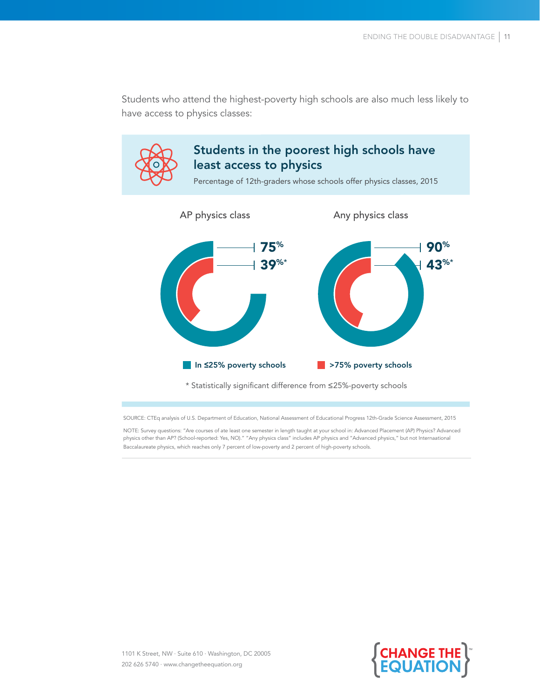Students who attend the highest-poverty high schools are also much less likely to have access to physics classes:



SOURCE: CTEq analysis of U.S. Department of Education, National Assessment of Educational Progress 12th-Grade Science Assessment, 2015

NOTE: Survey questions: "Are courses of ate least one semester in length taught at your school in: Advanced Placement (AP) Physics? Advanced physics other than AP? (School-reported: Yes, NO)." "Any physics class" includes AP physics and "Advanced physics," but not Internaational Baccalaureate physics, which reaches only 7 percent of low-poverty and 2 percent of high-poverty schools.

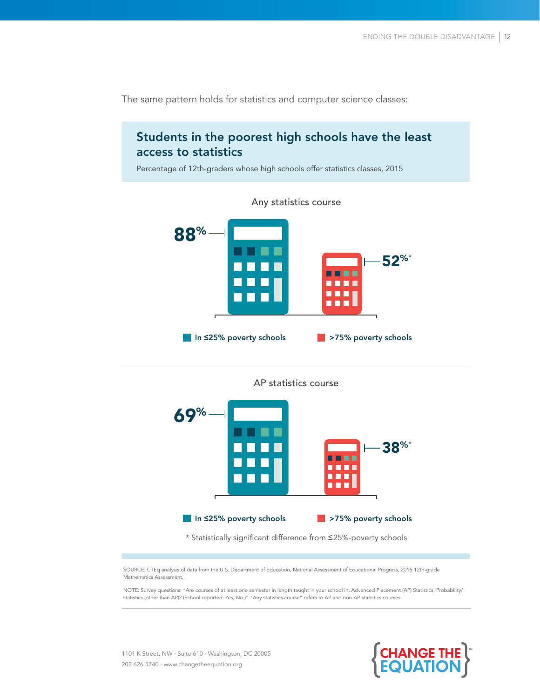

The same pattern holds for statistics and computer science classes:

| AP statistics course    |                                                        |
|-------------------------|--------------------------------------------------------|
| 69%                     | $38\%$                                                 |
| In ≤25% poverty schools | >75% poverty schools<br><b>Service Service Service</b> |

\* Statistically significant difference from ≤25%-poverty schools

SOURCE: CTEq analysis of data from the U.S. Department of Education, National Assessment of Educational Progress, 2015 12th-grade Mathematics Assessment.

NOTE: Survey questions: "Are courses of at least one semester in length taught in your school in: Advanced Placement (AP) Statistics; Probability/ statistics (other than AP)? (School-reported: Yes, No.)" "Any statistics course" refers to AP and non-AP statistics courses

1101 K Street, NW · Suite 610 · Washington, DC 20005 202 626 5740 · www.changetheequation.org

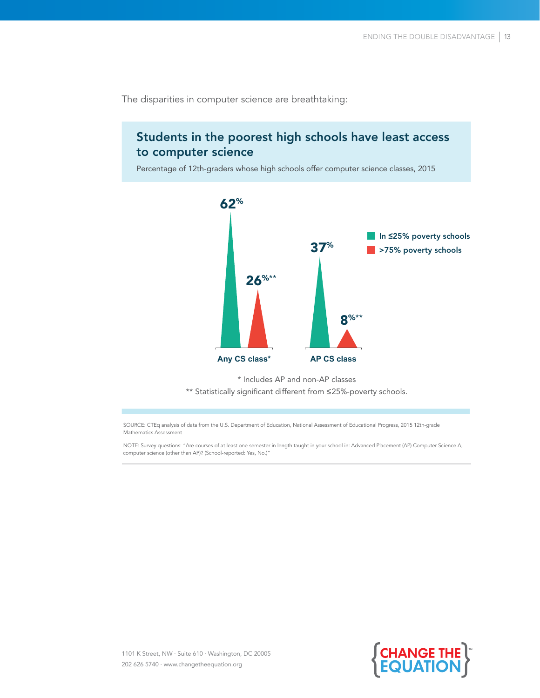The disparities in computer science are breathtaking:

#### Students in the poorest high schools have least access to computer science

Percentage of 12th-graders whose high schools offer computer science classes, 2015



\* Includes AP and non-AP classes

\*\* Statistically significant different from ≤25%-poverty schools.

SOURCE: CTEq analysis of data from the U.S. Department of Education, National Assessment of Educational Progress, 2015 12th-grade Mathematics Assessment

NOTE: Survey questions: "Are courses of at least one semester in length taught in your school in: Advanced Placement (AP) Computer Science A; computer science (other than AP)? (School-reported: Yes, No.)"

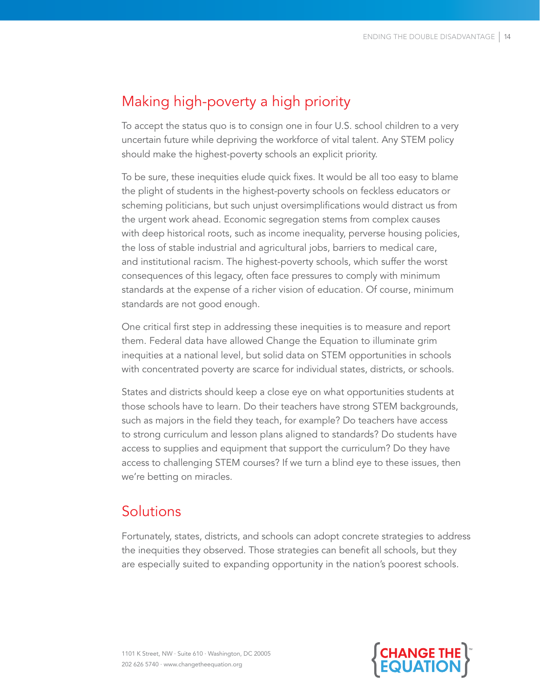## Making high-poverty a high priority

To accept the status quo is to consign one in four U.S. school children to a very uncertain future while depriving the workforce of vital talent. Any STEM policy should make the highest-poverty schools an explicit priority.

To be sure, these inequities elude quick fixes. It would be all too easy to blame the plight of students in the highest-poverty schools on feckless educators or scheming politicians, but such unjust oversimplifications would distract us from the urgent work ahead. Economic segregation stems from complex causes with deep historical roots, such as income inequality, perverse housing policies, the loss of stable industrial and agricultural jobs, barriers to medical care, and institutional racism. The highest-poverty schools, which suffer the worst consequences of this legacy, often face pressures to comply with minimum standards at the expense of a richer vision of education. Of course, minimum standards are not good enough.

One critical first step in addressing these inequities is to measure and report them. Federal data have allowed Change the Equation to illuminate grim inequities at a national level, but solid data on STEM opportunities in schools with concentrated poverty are scarce for individual states, districts, or schools.

States and districts should keep a close eye on what opportunities students at those schools have to learn. Do their teachers have strong STEM backgrounds, such as majors in the field they teach, for example? Do teachers have access to strong curriculum and lesson plans aligned to standards? Do students have access to supplies and equipment that support the curriculum? Do they have access to challenging STEM courses? If we turn a blind eye to these issues, then we're betting on miracles.

## **Solutions**

Fortunately, states, districts, and schools can adopt concrete strategies to address the inequities they observed. Those strategies can benefit all schools, but they are especially suited to expanding opportunity in the nation's poorest schools.



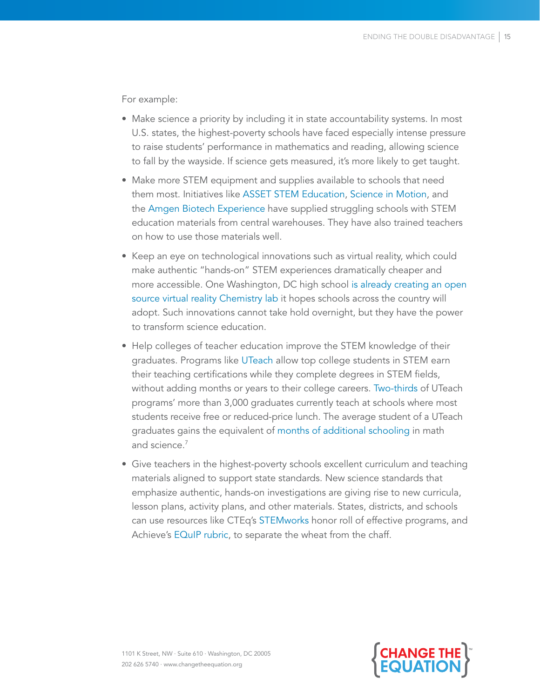For example:

- Make science a priority by including it in state accountability systems. In most U.S. states, the highest-poverty schools have faced especially intense pressure to raise students' performance in mathematics and reading, allowing science to fall by the wayside. If science gets measured, it's more likely to get taught.
- Make more STEM equipment and supplies available to schools that need them most. Initiatives like [ASSET STEM Education](http://changetheequation.org/asset-stem-education-elementary-program-0), [Science in Motion](http://changetheequation.org/science-motion-0), and the [Amgen Biotech Experience](http://changetheequation.org/amgen-biotech-experience) have supplied struggling schools with STEM education materials from central warehouses. They have also trained teachers on how to use those materials well.
- Keep an eye on technological innovations such as virtual reality, which could make authentic "hands-on" STEM experiences dramatically cheaper and more accessible. One Washington, DC high school [is already creating an open](file://C:/Users/lrosen/AppData/Local/Microsoft/Windows/Temporary Internet Files/Content.Outlook/BDDBG6MD/is already creating an open source virtual reality Chmistry lab it hopes schools around the country could adopt. http:/changetheequation.org/blog/can-virtual-reality-transform-us-high-schools#sthash.QfluuMJ8.dpuf blazing a trail )  [source virtual reality Chemistry lab](file://C:/Users/lrosen/AppData/Local/Microsoft/Windows/Temporary Internet Files/Content.Outlook/BDDBG6MD/is already creating an open source virtual reality Chmistry lab it hopes schools around the country could adopt. http:/changetheequation.org/blog/can-virtual-reality-transform-us-high-schools#sthash.QfluuMJ8.dpuf blazing a trail ) it hopes schools across the country will adopt. Such innovations cannot take hold overnight, but they have the power to transform science education.
- Help colleges of teacher education improve the STEM knowledge of their graduates. Programs like [UTeach](http://changetheequation.org/uteach-institute-0) allow top college students in STEM earn their teaching certifications while they complete degrees in STEM fields, without adding months or years to their college careers. [Two-thirds](https://institute.uteach.utexas.edu/sites/institute.uteach.utexas.edu/files/national-snapshot-may-2017.pdf) of UTeach programs' more than 3,000 graduates currently teach at schools where most students receive free or reduced-price lunch. The average student of a UTeach graduates gains the equivalent of [months of additional schooling](http://www.caldercenter.org/publications/can-uteach-assessing-relative-effectiveness-stem-teachers) in math and science.7
- Give teachers in the highest-poverty schools excellent curriculum and teaching materials aligned to support state standards. New science standards that emphasize authentic, hands-on investigations are giving rise to new curricula, lesson plans, activity plans, and other materials. States, districts, and schools can use resources like CTEq's [STEMworks](http://changetheequation.org/stemworks) honor roll of effective programs, and Achieve's [EQuIP rubric,](https://www.achieve.org/EQuIP) to separate the wheat from the chaff.

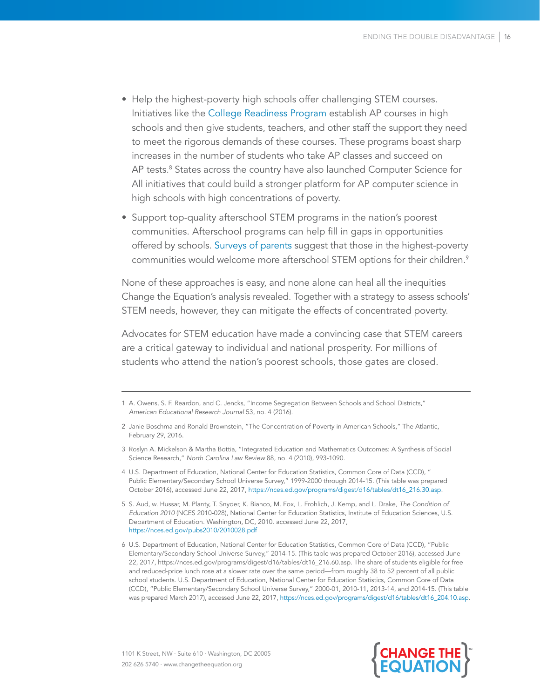- Help the highest-poverty high schools offer challenging STEM courses. Initiatives like the [College Readiness Program](http://changetheequation.org/national-math-and-science-initiatives-advanced-placement-program-0) establish AP courses in high schools and then give students, teachers, and other staff the support they need to meet the rigorous demands of these courses. These programs boast sharp increases in the number of students who take AP classes and succeed on AP tests.<sup>8</sup> States across the country have also launched Computer Science for All initiatives that could build a stronger platform for AP computer science in high schools with high concentrations of poverty.
- Support top-quality afterschool STEM programs in the nation's poorest communities. Afterschool programs can help fill in gaps in opportunities offered by schools. [Surveys of parents](http://www.afterschoolalliance.org/AA3PM/Concentrated_Poverty.pdf) suggest that those in the highest-poverty communities would welcome more afterschool STEM options for their children.<sup>9</sup>

None of these approaches is easy, and none alone can heal all the inequities Change the Equation's analysis revealed. Together with a strategy to assess schools' STEM needs, however, they can mitigate the effects of concentrated poverty.

Advocates for STEM education have made a convincing case that STEM careers are a critical gateway to individual and national prosperity. For millions of students who attend the nation's poorest schools, those gates are closed.



<sup>1</sup> A. Owens, S. F. Reardon, and C. Jencks, "Income Segregation Between Schools and School Districts," *American Educational Research Journal* 53, no. 4 (2016).

<sup>2</sup> Janie Boschma and Ronald Brownstein, "The Concentration of Poverty in American Schools," The Atlantic, February 29, 2016.

<sup>3</sup> Roslyn A. Mickelson & Martha Bottia, "Integrated Education and Mathematics Outcomes: A Synthesis of Social Science Research," *North Carolina Law Review* 88, no. 4 (2010), 993-1090.

<sup>4</sup> U.S. Department of Education, National Center for Education Statistics, Common Core of Data (CCD), " Public Elementary/Secondary School Universe Survey," 1999-2000 through 2014-15. (This table was prepared October 2016), accessed June 22, 2017, [https://nces.ed.gov/programs/digest/d16/tables/dt16\\_216.30.asp](https://nces.ed.gov/programs/digest/d16/tables/dt16_216.30.asp).

<sup>5</sup> S. Aud, w. Hussar, M. Planty, T. Snyder, K. Bianco, M. Fox, L. Frohlich, J. Kemp, and L. Drake, *The Condition of Education 2010* (NCES 2010-028), National Center for Education Statistics, Institute of Education Sciences, U.S. Department of Education. Washington, DC, 2010. accessed June 22, 2017, <https://nces.ed.gov/pubs2010/2010028.pdf>

<sup>6</sup> U.S. Department of Education, National Center for Education Statistics, Common Core of Data (CCD), "Public Elementary/Secondary School Universe Survey," 2014-15. (This table was prepared October 2016), accessed June 22, 2017, https://nces.ed.gov/programs/digest/d16/tables/dt16\_216.60.asp. The share of students eligible for free and reduced-price lunch rose at a slower rate over the same period—from roughly 38 to 52 percent of all public school students. U.S. Department of Education, National Center for Education Statistics, Common Core of Data (CCD), "Public Elementary/Secondary School Universe Survey," 2000-01, 2010-11, 2013-14, and 2014-15. (This table was prepared March 2017), accessed June 22, 2017, [https://nces.ed.gov/programs/digest/d16/tables/dt16\\_204.10.asp](https://nces.ed.gov/programs/digest/d16/tables/dt16_204.10.asp).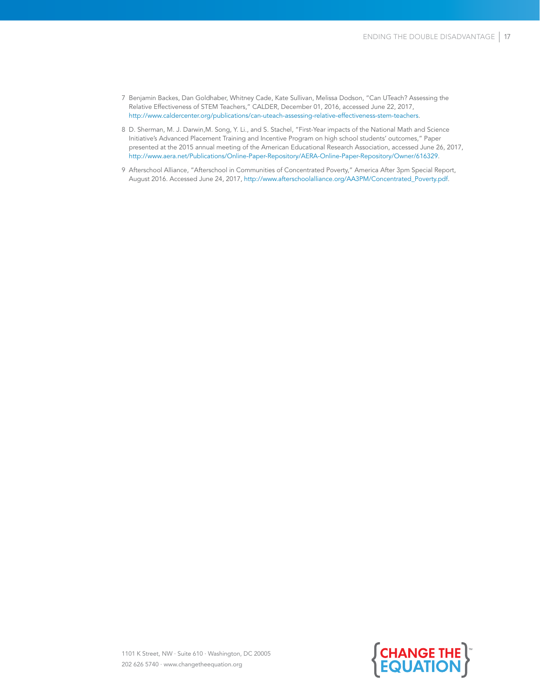- 7 Benjamin Backes, Dan Goldhaber, Whitney Cade, Kate Sullivan, Melissa Dodson, "Can UTeach? Assessing the Relative Effectiveness of STEM Teachers," CALDER, December 01, 2016, accessed June 22, 2017, [http://www.caldercenter.org/publications/can-uteach-assessing-relative-effectiveness-stem-teachers.](http://www.caldercenter.org/publications/can-uteach-assessing-relative-effectiveness-stem-teachers)
- 8 D. Sherman, M. J. Darwin,M. Song, Y. Li., and S. Stachel, "First-Year impacts of the National Math and Science Initiative's Advanced Placement Training and Incentive Program on high school students' outcomes," Paper presented at the 2015 annual meeting of the American Educational Research Association, accessed June 26, 2017, [http://www.aera.net/Publications/Online-Paper-Repository/AERA-Online-Paper-Repository/Owner/616329.](http://www.aera.net/Publications/Online-Paper-Repository/AERA-Online-Paper-Repository/Owner/616329)
- 9 Afterschool Alliance, "Afterschool in Communities of Concentrated Poverty," America After 3pm Special Report, August 2016. Accessed June 24, 2017, [http://www.afterschoolalliance.org/AA3PM/Concentrated\\_Poverty.pdf.](http://www.afterschoolalliance.org/AA3PM/Concentrated_Poverty.pdf)